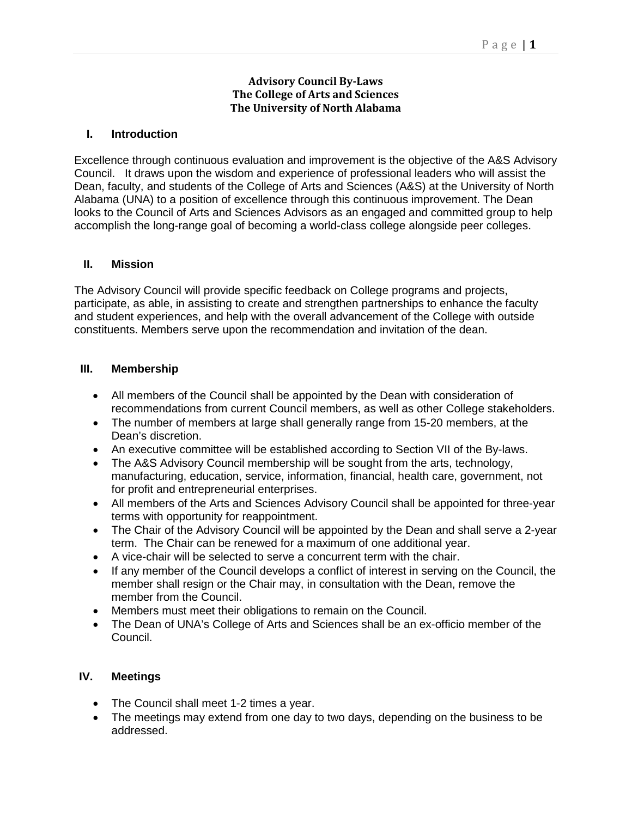## **Advisory Council By-Laws The College of Arts and Sciences The University of North Alabama**

## **I. Introduction**

Excellence through continuous evaluation and improvement is the objective of the A&S Advisory Council. It draws upon the wisdom and experience of professional leaders who will assist the Dean, faculty, and students of the College of Arts and Sciences (A&S) at the University of North Alabama (UNA) to a position of excellence through this continuous improvement. The Dean looks to the Council of Arts and Sciences Advisors as an engaged and committed group to help accomplish the long-range goal of becoming a world-class college alongside peer colleges.

## **II. Mission**

The Advisory Council will provide specific feedback on College programs and projects, participate, as able, in assisting to create and strengthen partnerships to enhance the faculty and student experiences, and help with the overall advancement of the College with outside constituents. Members serve upon the recommendation and invitation of the dean.

## **III. Membership**

- All members of the Council shall be appointed by the Dean with consideration of recommendations from current Council members, as well as other College stakeholders.
- The number of members at large shall generally range from 15-20 members, at the Dean's discretion.
- An executive committee will be established according to Section VII of the By-laws.
- The A&S Advisory Council membership will be sought from the arts, technology, manufacturing, education, service, information, financial, health care, government, not for profit and entrepreneurial enterprises.
- All members of the Arts and Sciences Advisory Council shall be appointed for three-year terms with opportunity for reappointment.
- The Chair of the Advisory Council will be appointed by the Dean and shall serve a 2-year term. The Chair can be renewed for a maximum of one additional year.
- A vice-chair will be selected to serve a concurrent term with the chair.
- If any member of the Council develops a conflict of interest in serving on the Council, the member shall resign or the Chair may, in consultation with the Dean, remove the member from the Council.
- Members must meet their obligations to remain on the Council.
- The Dean of UNA's College of Arts and Sciences shall be an ex-officio member of the Council.

## **IV. Meetings**

- The Council shall meet 1-2 times a year.
- The meetings may extend from one day to two days, depending on the business to be addressed.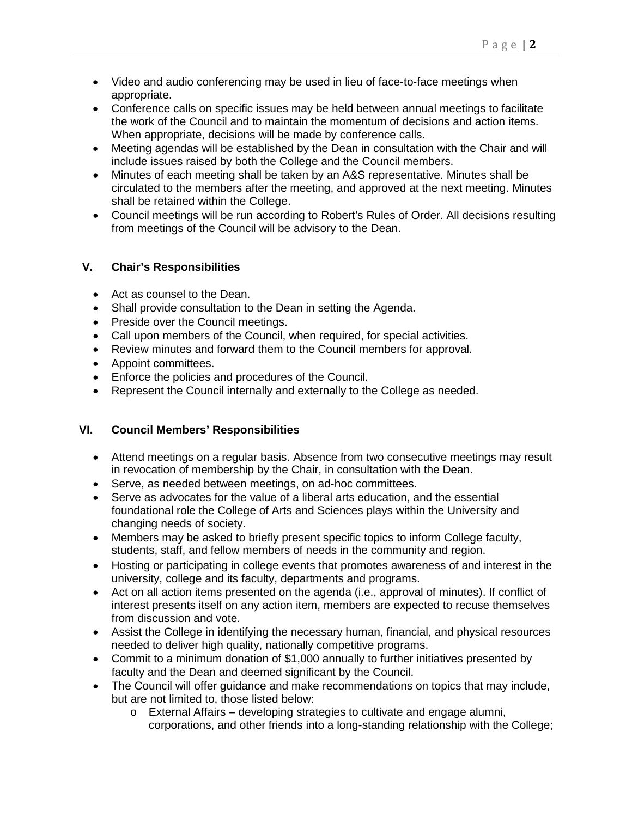- Video and audio conferencing may be used in lieu of face-to-face meetings when appropriate.
- Conference calls on specific issues may be held between annual meetings to facilitate the work of the Council and to maintain the momentum of decisions and action items. When appropriate, decisions will be made by conference calls.
- Meeting agendas will be established by the Dean in consultation with the Chair and will include issues raised by both the College and the Council members.
- Minutes of each meeting shall be taken by an A&S representative. Minutes shall be circulated to the members after the meeting, and approved at the next meeting. Minutes shall be retained within the College.
- Council meetings will be run according to Robert's Rules of Order. All decisions resulting from meetings of the Council will be advisory to the Dean.

## **V. Chair's Responsibilities**

- Act as counsel to the Dean.
- Shall provide consultation to the Dean in setting the Agenda.
- Preside over the Council meetings.
- Call upon members of the Council, when required, for special activities.
- Review minutes and forward them to the Council members for approval.
- Appoint committees.
- Enforce the policies and procedures of the Council.
- Represent the Council internally and externally to the College as needed.

# **VI. Council Members' Responsibilities**

- Attend meetings on a regular basis. Absence from two consecutive meetings may result in revocation of membership by the Chair, in consultation with the Dean.
- Serve, as needed between meetings, on ad-hoc committees.
- Serve as advocates for the value of a liberal arts education, and the essential foundational role the College of Arts and Sciences plays within the University and changing needs of society.
- Members may be asked to briefly present specific topics to inform College faculty, students, staff, and fellow members of needs in the community and region.
- Hosting or participating in college events that promotes awareness of and interest in the university, college and its faculty, departments and programs.
- Act on all action items presented on the agenda (i.e., approval of minutes). If conflict of interest presents itself on any action item, members are expected to recuse themselves from discussion and vote.
- Assist the College in identifying the necessary human, financial, and physical resources needed to deliver high quality, nationally competitive programs.
- Commit to a minimum donation of \$1,000 annually to further initiatives presented by faculty and the Dean and deemed significant by the Council.
- The Council will offer guidance and make recommendations on topics that may include, but are not limited to, those listed below:
	- o External Affairs developing strategies to cultivate and engage alumni, corporations, and other friends into a long-standing relationship with the College;